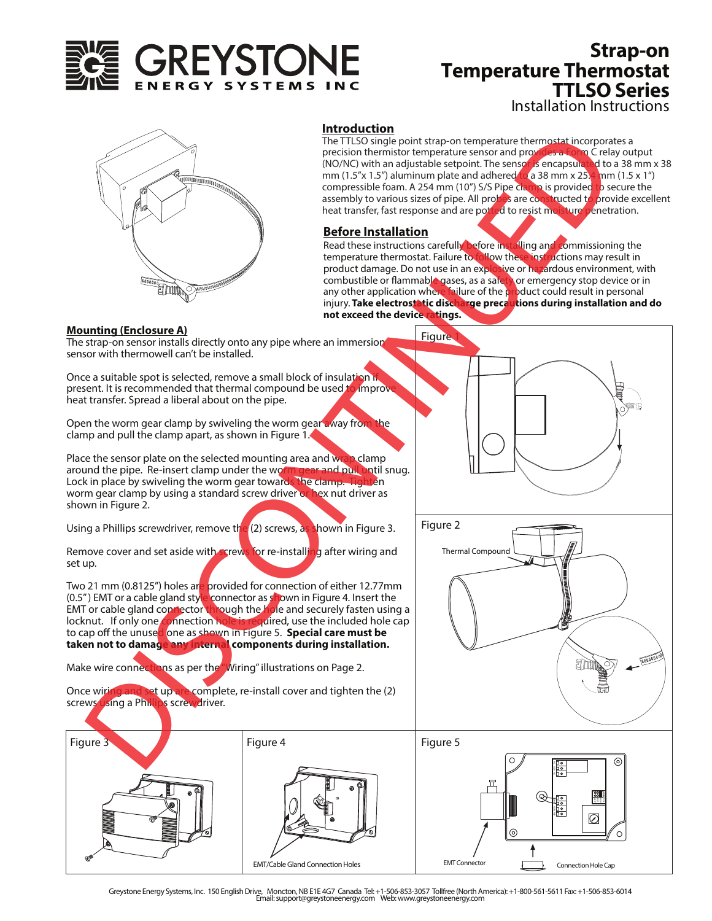

# Installation Instructions **Strap-on Temperature Thermostat TTLSO Series**



## **Introduction**

The TTLSO single point strap-on temperature thermostat incorporates a precision thermistor temperature sensor and provides a Form C relay output (NO/NC) with an adjustable setpoint. The sensor is encapsulated to a 38 mm x 38 mm (1.5"x 1.5") aluminum plate and adhered to a 38 mm x 25.4 mm (1.5 x 1") compressible foam. A 254 mm (10") S/S Pipe clamp is provided to secure the assembly to various sizes of pipe. All probes are constructed to provide excellent heat transfer, fast response and are potted to resist moisture penetration.

## **Before Installation**

Read these instructions carefully before installing and commissioning the temperature thermostat. Failure to follow these instructions may result in product damage. Do not use in an explosive or hazardous environment, with combustible or flammable gases, as a safety or emergency stop device or in any other application where failure of the product could result in personal injury. **Take electrostatic discharge precautions during installation and do not exceed the device ratings.** 

#### **Mounting (Enclosure A)**

**Figure** The strap-on sensor installs directly onto any pipe where an immersion sensor with thermowell can't be installed. Once a suitable spot is selected, remove a small block of insulation if present. It is recommended that thermal compound be used to improve heat transfer. Spread a liberal about on the pipe. Open the worm gear clamp by swiveling the worm gear away from the clamp and pull the clamp apart, as shown in Figure 1. Place the sensor plate on the selected mounting area and wrap clamp around the pipe. Re-insert clamp under the worm gear and pull until snug. Lock in place by swiveling the worm gear towards the clamp. Tighten worm gear clamp by using a standard screw driver or hex nut driver as shown in Figure 2. Using a Phillips screwdriver, remove the (2) screws, as shown in Figure 3. Remove cover and set aside with screws for re-installing after wiring and set up. Two 21 mm (0.8125") holes are provided for connection of either 12.77mm (0.5") EMT or a cable gland style connector as shown in Figure 4. Insert the EMT or cable gland connector through the hole and securely fasten using a locknut. If only one connection hole is required, use the included hole cap to cap off the unused one as shown in Figure 5. **Special care must be taken not to damage any internal components during installation.**  Figure 2 The main of the specifical terms of the specifical terms of the specifical terms of the specifical terms of the specifical terms of the specifical terms of the specifical terms of the specifical terms of the specifical te

Make wire connections as per the "Wiring" illustrations on Page 2.

Once wiring and set up are complete, re-install cover and tighten the (2) screws using a Phillips screwdriver.



Greystone Energy Systems, Inc. 150 English Drive, Moncton, NB E1E 4G7 Canada Tel: +1-506-853-3057 Tollfree (North America): +1-800-561-5611 Fax: +1-506-853-6014 Email: support@greystoneenergy.com Web: www.greystoneenergy.com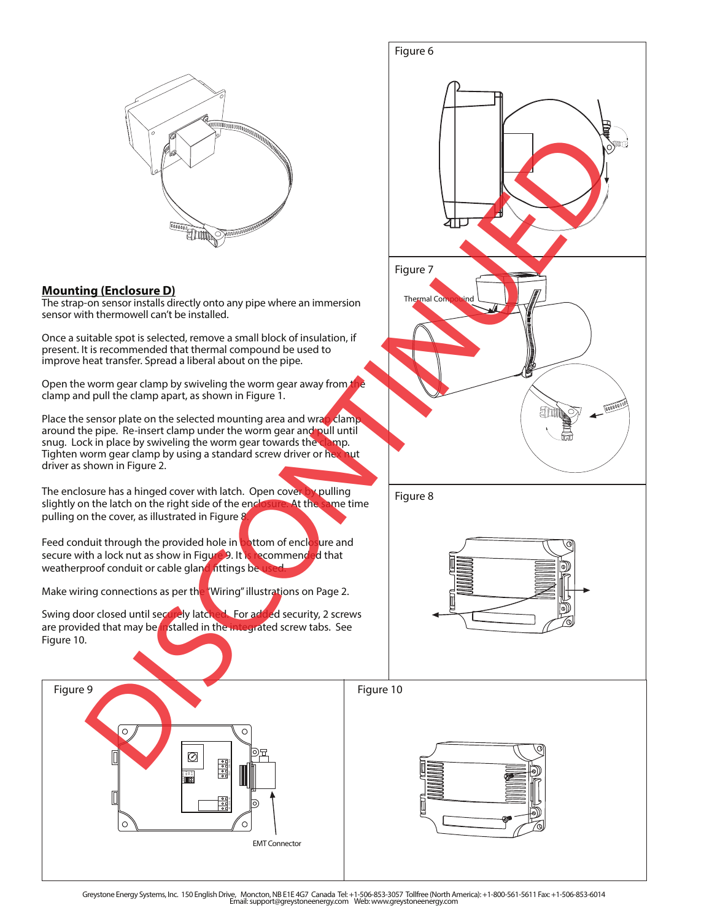

## **Mounting (Enclosure D)**

The strap-on sensor installs directly onto any pipe where an immersion sensor with thermowell can't be installed.

Once a suitable spot is selected, remove a small block of insulation, if present. It is recommended that thermal compound be used to improve heat transfer. Spread a liberal about on the pipe.

Open the worm gear clamp by swiveling the worm gear away from the clamp and pull the clamp apart, as shown in Figure 1.

Place the sensor plate on the selected mounting area and wrap clamp. around the pipe. Re-insert clamp under the worm gear and pull until snug. Lock in place by swiveling the worm gear towards the clamp. Tighten worm gear clamp by using a standard screw driver or hex nut driver as shown in Figure 2.

The enclosure has a hinged cover with latch. Open cover by pulling slightly on the latch on the right side of the enclosure. At the same time pulling on the cover, as illustrated in Figure 8.

Feed conduit through the provided hole in **bottom** of enclosure and secure with a lock nut as show in Figure 9. It is recommended that weatherproof conduit or cable gland fittings be

Make wiring connections as per the "Wiring" illustrations on Page 2.

Swing door closed until securely latched. For added security, 2 screws are provided that may be installed in the integrated screw tabs. See Figure 10.





Greystone Energy Systems, Inc. 150 English Drive, Moncton, NB E1E 4G7 Canada Tel: +1-506-853-3057 Tollfree (North America): +1-800-561-5611 Fax: +1-506-853-6014 Email: support@greystoneenergy.com Web: www.greystoneenergy.com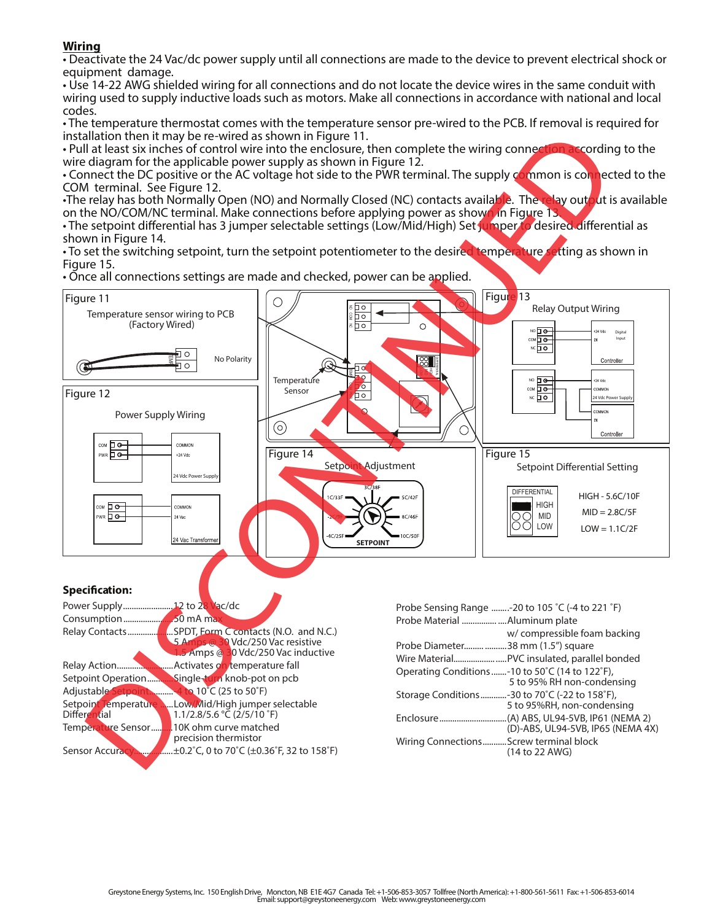**Wiring** • Deactivate the 24 Vac/dc power supply until all connections are made to the device to prevent electrical shock or equipment damage.

• Use 14-22 AWG shielded wiring for all connections and do not locate the device wires in the same conduit with wiring used to supply inductive loads such as motors. Make all connections in accordance with national and local codes.

• The temperature thermostat comes with the temperature sensor pre-wired to the PCB. If removal is required for installation then it may be re-wired as shown in Figure 11.

• Pull at least six inches of control wire into the enclosure, then complete the wiring connection according to the wire diagram for the applicable power supply as shown in Figure 12.

• Connect the DC positive or the AC voltage hot side to the PWR terminal. The supply common is connected to the COM terminal. See Figure 12.

•The relay has both Normally Open (NO) and Normally Closed (NC) contacts available. The relay output is available on the NO/COM/NC terminal. Make connections before applying power as shown in Figure 13.

• The setpoint differential has 3 jumper selectable settings (Low/Mid/High) Set jumper to desired differential as shown in Figure 14.

• To set the switching setpoint, turn the setpoint potentiometer to the desired temperature setting as shown in Figure 15.

• Once all connections settings are made and checked, power can be applied.